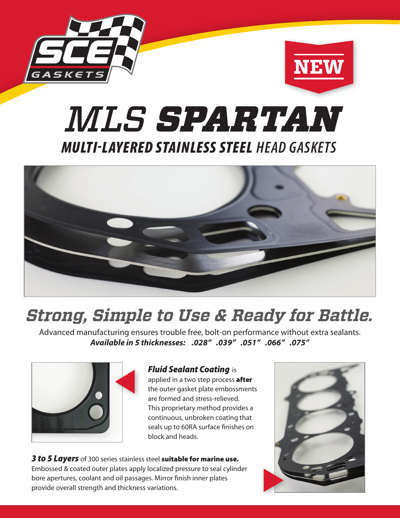



# MULTILAYERED STAINLESS STEEL *HEAD GASKETS MLS SPARTAN*



## *Strong, Simple to Use & Ready for Battle.*

Advanced manufacturing ensures trouble free, bolt-on performance without extra sealants. *Available in 5 thicknesses: .028" .039" .051" .066" .075"*



#### *Fluid Sealant Coating* is

applied in a two step process after the outer gasket plate embossments are formed and stress-relieved. This proprietary method provides a continuous, unbroken coating that seals up to 60RA surface finishes on block and heads.

*3 to 5 Layers* of 300 series stainless steel suitable for marine use. Embossed & coated outer plates apply localized pressure to seal cylinder bore apertures, coolant and oil passages. Mirror finish inner plates provide overall strength and thickness variations.